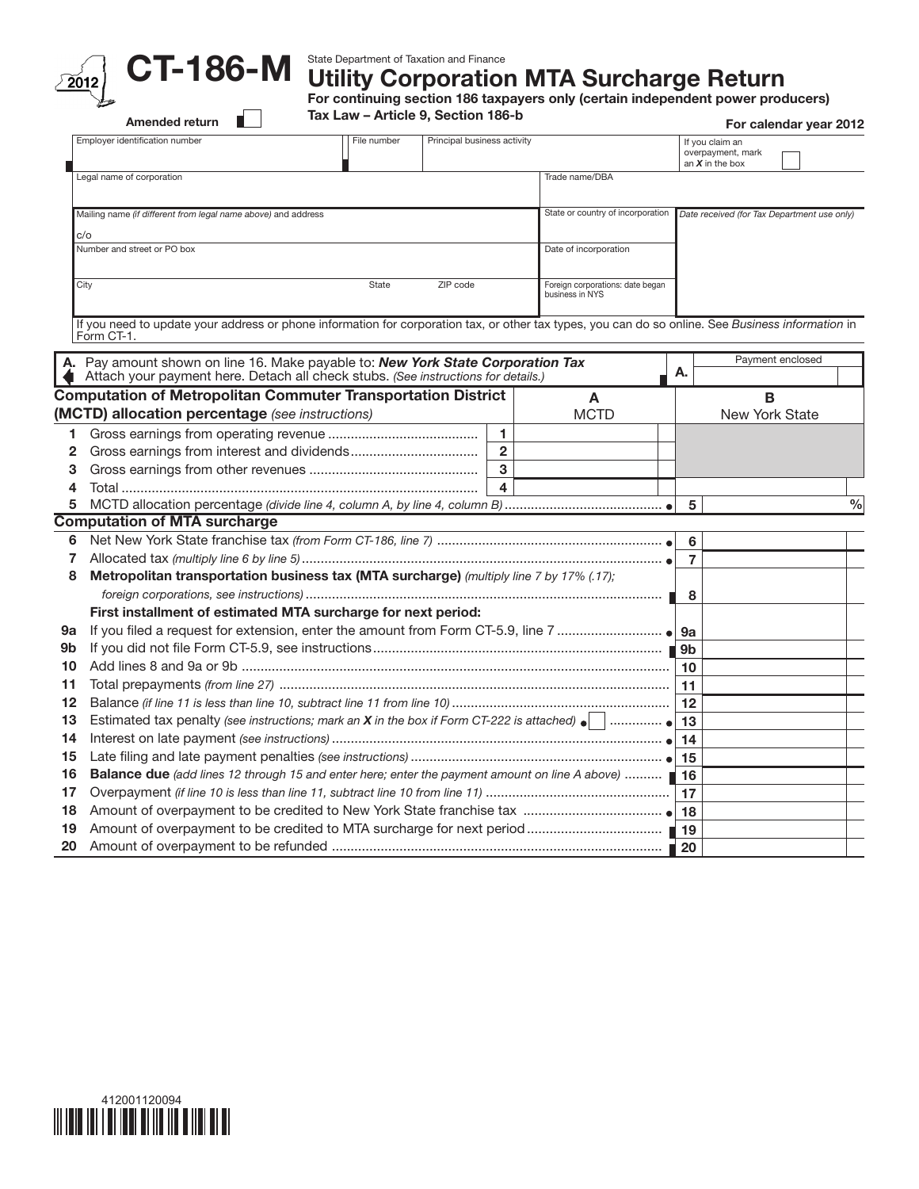

State Department of Taxation and Finance

Utility Corporation MTA Surcharge Return

For continuing section 186 taxpayers only (certain independent power producers)

Tax Law – Article 9, Section 186-b

|                | Amended return                                                                                                                                                   | Tax Law - Article 9, Section 186-b                                                                    |  |                |                                   |                                                           |                                             | For calendar year 2012 |      |  |  |
|----------------|------------------------------------------------------------------------------------------------------------------------------------------------------------------|-------------------------------------------------------------------------------------------------------|--|----------------|-----------------------------------|-----------------------------------------------------------|---------------------------------------------|------------------------|------|--|--|
|                | Employer identification number<br>Principal business activity<br>File number                                                                                     |                                                                                                       |  |                |                                   | If you claim an<br>overpayment, mark<br>an $X$ in the box |                                             |                        |      |  |  |
|                | Legal name of corporation                                                                                                                                        | Trade name/DBA                                                                                        |  |                |                                   |                                                           |                                             |                        |      |  |  |
|                | Mailing name (if different from legal name above) and address                                                                                                    |                                                                                                       |  |                | State or country of incorporation |                                                           | Date received (for Tax Department use only) |                        |      |  |  |
| c/o            |                                                                                                                                                                  |                                                                                                       |  |                |                                   |                                                           |                                             |                        |      |  |  |
|                | Number and street or PO box<br>Date of incorporation                                                                                                             |                                                                                                       |  |                |                                   |                                                           |                                             |                        |      |  |  |
|                | City                                                                                                                                                             | State<br>ZIP code<br>Foreign corporations: date began<br>business in NYS                              |  |                |                                   |                                                           |                                             |                        |      |  |  |
|                | If you need to update your address or phone information for corporation tax, or other tax types, you can do so online. See Business information in<br>Form CT-1. |                                                                                                       |  |                |                                   |                                                           |                                             |                        |      |  |  |
|                | A. Pay amount shown on line 16. Make payable to: New York State Corporation Tax                                                                                  |                                                                                                       |  |                |                                   | Α.                                                        |                                             | Payment enclosed       |      |  |  |
|                | Attach your payment here. Detach all check stubs. (See instructions for details.)                                                                                |                                                                                                       |  |                |                                   |                                                           |                                             |                        |      |  |  |
|                | <b>Computation of Metropolitan Commuter Transportation District</b>                                                                                              |                                                                                                       |  |                | A                                 |                                                           | B                                           |                        |      |  |  |
|                | (MCTD) allocation percentage (see instructions)                                                                                                                  |                                                                                                       |  |                | <b>MCTD</b>                       |                                                           | New York State                              |                        |      |  |  |
| 1              |                                                                                                                                                                  |                                                                                                       |  | 1              |                                   |                                                           |                                             |                        |      |  |  |
| 2              |                                                                                                                                                                  |                                                                                                       |  | $\overline{2}$ |                                   |                                                           |                                             |                        |      |  |  |
| 3              |                                                                                                                                                                  |                                                                                                       |  | $\mathbf{3}$   |                                   |                                                           |                                             |                        |      |  |  |
| 4              |                                                                                                                                                                  |                                                                                                       |  | 4              |                                   |                                                           |                                             |                        |      |  |  |
| 5              |                                                                                                                                                                  |                                                                                                       |  |                |                                   |                                                           | 5                                           |                        | $\%$ |  |  |
|                | <b>Computation of MTA surcharge</b>                                                                                                                              |                                                                                                       |  |                |                                   |                                                           |                                             |                        |      |  |  |
| 6              |                                                                                                                                                                  |                                                                                                       |  |                |                                   |                                                           | 6                                           |                        |      |  |  |
| $\overline{7}$ |                                                                                                                                                                  |                                                                                                       |  |                |                                   |                                                           | $\overline{7}$                              |                        |      |  |  |
| 8              |                                                                                                                                                                  | Metropolitan transportation business tax (MTA surcharge) (multiply line 7 by 17% (.17);               |  |                |                                   |                                                           |                                             |                        |      |  |  |
|                |                                                                                                                                                                  |                                                                                                       |  |                |                                   |                                                           | 8                                           |                        |      |  |  |
|                |                                                                                                                                                                  | First installment of estimated MTA surcharge for next period:                                         |  |                |                                   |                                                           |                                             |                        |      |  |  |
| 9а             |                                                                                                                                                                  |                                                                                                       |  |                |                                   |                                                           |                                             |                        |      |  |  |
| 9b             |                                                                                                                                                                  |                                                                                                       |  |                |                                   |                                                           |                                             |                        |      |  |  |
| 10             |                                                                                                                                                                  |                                                                                                       |  |                |                                   |                                                           | 10                                          |                        |      |  |  |
| 11             |                                                                                                                                                                  |                                                                                                       |  |                |                                   |                                                           | 11                                          |                        |      |  |  |
| 12             |                                                                                                                                                                  |                                                                                                       |  |                |                                   |                                                           | 12                                          |                        |      |  |  |
| 13             | <b>Estimated tax penalty (see instructions; mark an X in the box if Form CT-222 is attached)</b>                                                                 |                                                                                                       |  |                |                                   |                                                           | 13                                          |                        |      |  |  |
| 14             |                                                                                                                                                                  |                                                                                                       |  |                |                                   |                                                           | 14                                          |                        |      |  |  |
| 15             |                                                                                                                                                                  |                                                                                                       |  |                |                                   |                                                           | 15                                          |                        |      |  |  |
| 16             |                                                                                                                                                                  | <b>Balance due</b> (add lines 12 through 15 and enter here; enter the payment amount on line A above) |  |                |                                   |                                                           | 16                                          |                        |      |  |  |
| 17             |                                                                                                                                                                  |                                                                                                       |  |                |                                   |                                                           | 17                                          |                        |      |  |  |
| 18             |                                                                                                                                                                  |                                                                                                       |  |                |                                   |                                                           |                                             |                        |      |  |  |
| 19             |                                                                                                                                                                  |                                                                                                       |  |                |                                   |                                                           |                                             |                        |      |  |  |
| 20             |                                                                                                                                                                  |                                                                                                       |  |                |                                   |                                                           |                                             |                        |      |  |  |